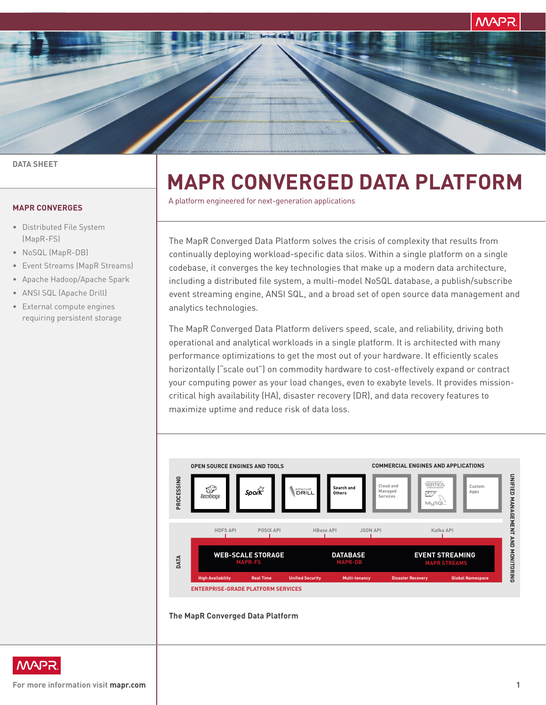**MAPR** 

#### **DATA SHEET**

## **MAPR CONVERGES**

- Distributed File System (MapR-FS)
- NoSQL (MapR-DB)
- Event Streams (MapR Streams)
- Apache Hadoop/Apache Spark
- ANSI SQL (Apache Drill)
- External compute engines requiring persistent storage

# **MAPR CONVERGED DATA PLATFORM**

A platform engineered for next-generation applications

The MapR Converged Data Platform solves the crisis of complexity that results from continually deploying workload-specific data silos. Within a single platform on a single codebase, it converges the key technologies that make up a modern data architecture, including a distributed file system, a multi-model NoSQL database, a publish/subscribe event streaming engine, ANSI SQL, and a broad set of open source data management and analytics technologies.

The MapR Converged Data Platform delivers speed, scale, and reliability, driving both operational and analytical workloads in a single platform. It is architected with many performance optimizations to get the most out of your hardware. It efficiently scales horizontally ("scale out") on commodity hardware to cost-effectively expand or contract your computing power as your load changes, even to exabyte levels. It provides missioncritical high availability (HA), disaster recovery (DR), and data recovery features to maximize uptime and reduce risk of data loss.



#### **The MapR Converged Data Platform**

**MAPR** 

**For more information visit [mapr.com](http://mapr.com) 1**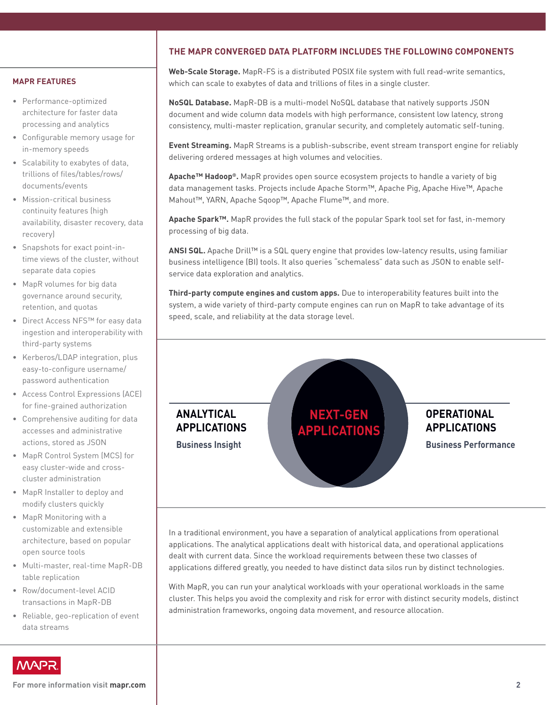# **THE MAPR CONVERGED DATA PLATFORM INCLUDES THE FOLLOWING COMPONENTS**

### **MAPR FEATURES**

- Performance-optimized architecture for faster data processing and analytics
- Configurable memory usage for in-memory speeds
- Scalability to exabytes of data, trillions of files/tables/rows/ documents/events
- Mission-critical business continuity features (high availability, disaster recovery, data recovery)
- Snapshots for exact point-intime views of the cluster, without separate data copies
- MapR volumes for big data governance around security, retention, and quotas
- Direct Access NFS™ for easy data ingestion and interoperability with third-party systems
- Kerberos/LDAP integration, plus easy-to-configure username/ password authentication
- Access Control Expressions (ACE) for fine-grained authorization
- Comprehensive auditing for data accesses and administrative actions, stored as JSON
- MapR Control System (MCS) for easy cluster-wide and crosscluster administration
- MapR Installer to deploy and modify clusters quickly
- MapR Monitoring with a customizable and extensible architecture, based on popular open source tools
- Multi-master, real-time MapR-DB table replication
- Row/document-level ACID transactions in MapR-DB
- Reliable, geo-replication of event data streams

**Web-Scale Storage.** MapR-FS is a distributed POSIX file system with full read-write semantics, which can scale to exabytes of data and trillions of files in a single cluster.

**NoSQL Database.** MapR-DB is a multi-model NoSQL database that natively supports JSON document and wide column data models with high performance, consistent low latency, strong consistency, multi-master replication, granular security, and completely automatic self-tuning.

**Event Streaming.** MapR Streams is a publish-subscribe, event stream transport engine for reliably delivering ordered messages at high volumes and velocities.

**Apache™ Hadoop®.** MapR provides open source ecosystem projects to handle a variety of big data management tasks. Projects include Apache Storm™, Apache Pig, Apache Hive™, Apache Mahout™, YARN, Apache Sqoop™, Apache Flume™, and more.

**Apache Spark™.** MapR provides the full stack of the popular Spark tool set for fast, in-memory processing of big data.

**ANSI SQL.** Apache Drill™ is a SQL query engine that provides low-latency results, using familiar business intelligence (BI) tools. It also queries "schemaless" data such as JSON to enable selfservice data exploration and analytics.

**Third-party compute engines and custom apps.** Due to interoperability features built into the system, a wide variety of third-party compute engines can run on MapR to take advantage of its speed, scale, and reliability at the data storage level.



In a traditional environment, you have a separation of analytical applications from operational applications. The analytical applications dealt with historical data, and operational applications dealt with current data. Since the workload requirements between these two classes of applications differed greatly, you needed to have distinct data silos run by distinct technologies.

With MapR, you can run your analytical workloads with your operational workloads in the same cluster. This helps you avoid the complexity and risk for error with distinct security models, distinct administration frameworks, ongoing data movement, and resource allocation.



**For more information visit [mapr.com](http://mapr.com) 2**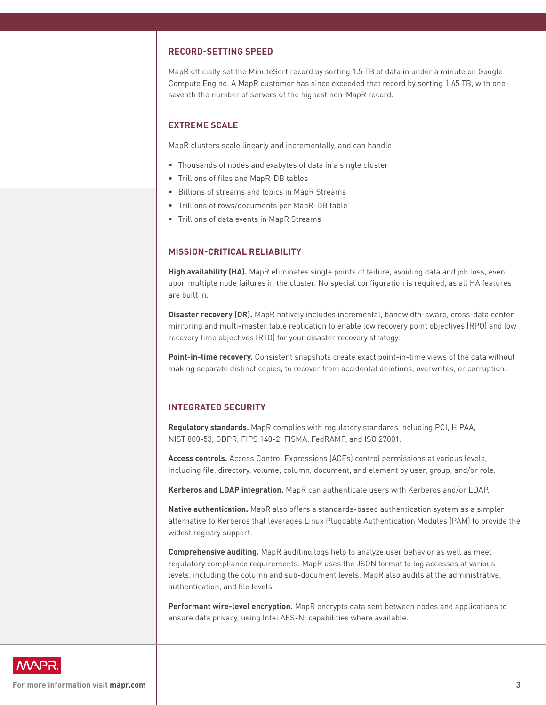## **RECORD-SETTING SPEED**

MapR officially set the MinuteSort record by sorting 1.5 TB of data in under a minute on Google Compute Engine. A MapR customer has since exceeded that record by sorting 1.65 TB, with oneseventh the number of servers of the highest non-MapR record.

## **EXTREME SCALE**

MapR clusters scale linearly and incrementally, and can handle:

- Thousands of nodes and exabytes of data in a single cluster
- Trillions of files and MapR-DB tables
- Billions of streams and topics in MapR Streams
- Trillions of rows/documents per MapR-DB table
- Trillions of data events in MapR Streams

## **MISSION-CRITICAL RELIABILITY**

High availability (HA). MapR eliminates single points of failure, avoiding data and job loss, even upon multiple node failures in the cluster. No special configuration is required, as all HA features are built in.

**Disaster recovery (DR).** MapR natively includes incremental, bandwidth-aware, cross-data center mirroring and multi-master table replication to enable low recovery point objectives (RPO) and low recovery time objectives (RTO) for your disaster recovery strategy.

**Point-in-time recovery.** Consistent snapshots create exact point-in-time views of the data without making separate distinct copies, to recover from accidental deletions, overwrites, or corruption.

## **INTEGRATED SECURITY**

**Regulatory standards.** MapR complies with regulatory standards including PCI, HIPAA, NIST 800-53, GDPR, FIPS 140-2, FISMA, FedRAMP, and ISO 27001.

**Access controls.** Access Control Expressions (ACEs) control permissions at various levels, including file, directory, volume, column, document, and element by user, group, and/or role.

**Kerberos and LDAP integration.** MapR can authenticate users with Kerberos and/or LDAP.

**Native authentication.** MapR also offers a standards-based authentication system as a simpler alternative to Kerberos that leverages Linux Pluggable Authentication Modules (PAM) to provide the widest registry support.

**Comprehensive auditing.** MapR auditing logs help to analyze user behavior as well as meet regulatory compliance requirements. MapR uses the JSON format to log accesses at various levels, including the column and sub-document levels. MapR also audits at the administrative, authentication, and file levels.

**Performant wire-level encryption.** MapR encrypts data sent between nodes and applications to ensure data privacy, using Intel AES-NI capabilities where available.